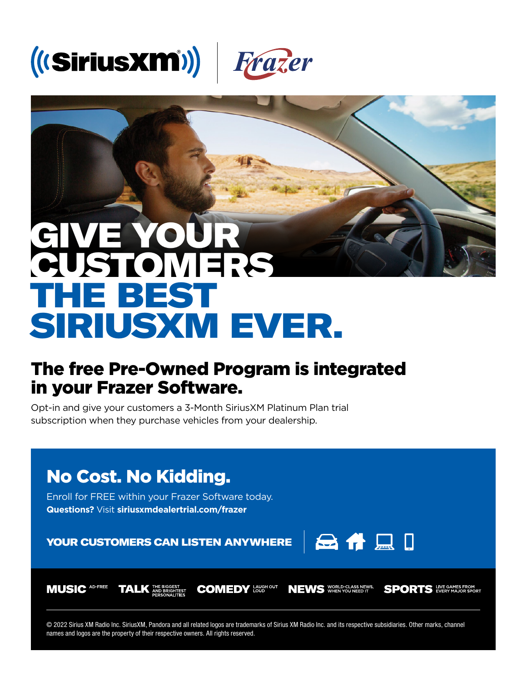



## SIRIUSXM EVER.

## The free Pre-Owned Program is integrated in your Frazer Software.

Opt-in and give your customers a 3-Month SiriusXM Platinum Plan trial subscription when they purchase vehicles from your dealership.



© 2022 Sirius XM Radio Inc. SiriusXM, Pandora and all related logos are trademarks of Sirius XM Radio Inc. and its respective subsidiaries. Other marks, channel names and logos are the property of their respective owners. All rights reserved.